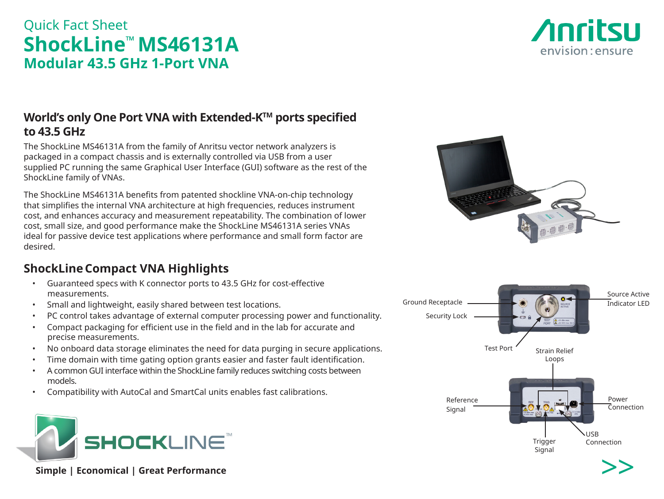# Quick Fact Sheet **ShockLine™ MS46131A Modular 43.5 GHz 1-Port VNA**



## **World's only One Port VNA with Extended-KTM ports specified to 43.5 GHz**

The ShockLine MS46131A from the family of Anritsu vector network analyzers is packaged in a compact chassis and is externally controlled via USB from a user supplied PC running the same Graphical User Interface (GUI) software as the rest of the ShockLine family of VNAs.

The ShockLine MS46131A benefits from patented shockline VNA-on-chip technology that simplifies the internal VNA architecture at high frequencies, reduces instrument cost, and enhances accuracy and measurement repeatability. The combination of lower cost, small size, and good performance make the ShockLine MS46131A series VNAs ideal for passive device test applications where performance and small form factor are desired.

# **ShockLineCompact VNA Highlights**

- Guaranteed specs with K connector ports to 43.5 GHz for cost-effective measurements.
- Small and lightweight, easily shared between test locations.
- PC control takes advantage of external computer processing power and functionality.
- Compact packaging for efficient use in the field and in the lab for accurate and precise measurements.
- No onboard data storage eliminates the need for data purging in secure applications.
- Time domain with time gating option grants easier and faster fault identification.
- A common GUI interface within the ShockLine family reduces switching costs between models.
- Compatibility with AutoCal and SmartCal units enables fast calibrations.